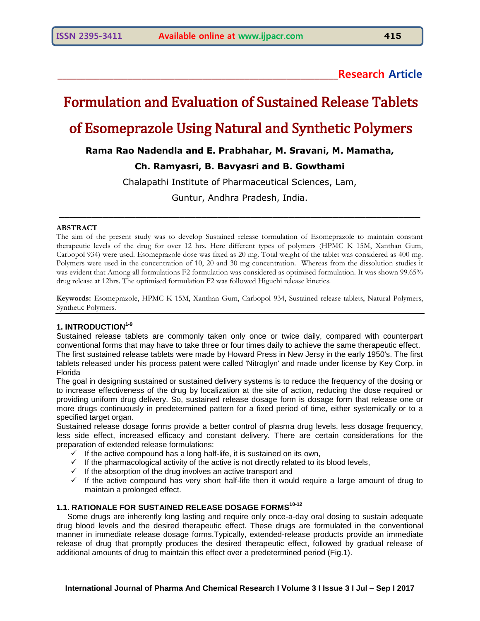**\_\_\_\_\_\_\_\_\_\_\_\_\_\_\_\_\_\_\_\_\_\_\_\_\_\_\_\_\_\_\_\_\_\_\_\_\_\_\_\_\_\_\_\_\_\_\_\_\_\_\_\_\_\_\_\_\_\_\_\_Research Article**

# Formulation and Evaluation of Sustained Release Tablets

## of Esomeprazole Using Natural and Synthetic Polymers

**Rama Rao Nadendla and E. Prabhahar, M. Sravani, M. Mamatha,** 

## **Ch. Ramyasri, B. Bavyasri and B. Gowthami**

Chalapathi Institute of Pharmaceutical Sciences, Lam,

Guntur, Andhra Pradesh, India.

\_\_\_\_\_\_\_\_\_\_\_\_\_\_\_\_\_\_\_\_\_\_\_\_\_\_\_\_\_\_\_\_\_\_\_\_\_\_\_\_\_\_\_\_\_\_\_\_\_\_\_\_\_\_\_\_\_\_\_\_\_\_\_\_\_\_

#### **ABSTRACT**

The aim of the present study was to develop Sustained release formulation of Esomeprazole to maintain constant therapeutic levels of the drug for over 12 hrs. Here different types of polymers (HPMC K 15M, Xanthan Gum, Carbopol 934) were used. Esomeprazole dose was fixed as 20 mg. Total weight of the tablet was considered as 400 mg. Polymers were used in the concentration of 10, 20 and 30 mg concentration. Whereas from the dissolution studies it was evident that Among all formulations F2 formulation was considered as optimised formulation. It was shown 99.65% drug release at 12hrs. The optimised formulation F2 was followed Higuchi release kinetics.

**Keywords:** Esomeprazole, HPMC K 15M, Xanthan Gum, Carbopol 934, Sustained release tablets, Natural Polymers, Synthetic Polymers.

## **1. INTRODUCTION1-9**

Sustained release tablets are commonly taken only once or twice daily, compared with counterpart conventional forms that may have to take three or four times daily to achieve the same therapeutic effect. The first sustained release tablets were made by Howard Press in New Jersy in the early 1950's. The first tablets released under his process patent were called 'Nitroglyn' and made under license by Key Corp. in Florida

The goal in designing sustained or sustained delivery systems is to reduce the frequency of the dosing or to increase effectiveness of the drug by localization at the site of action, reducing the dose required or providing uniform drug delivery. So, sustained release dosage form is dosage form that release one or more drugs continuously in predetermined pattern for a fixed period of time, either systemically or to a specified target organ.

Sustained release dosage forms provide a better control of plasma drug levels, less dosage frequency, less side effect, increased efficacy and constant delivery. There are certain considerations for the preparation of extended release formulations:

- $\checkmark$  If the active compound has a long half-life, it is sustained on its own,
- $\checkmark$  If the pharmacological activity of the active is not directly related to its blood levels,
- $\checkmark$  If the absorption of the drug involves an active transport and
- $\checkmark$  If the active compound has very short half-life then it would require a large amount of drug to maintain a prolonged effect.

## **1.1. RATIONALE FOR SUSTAINED RELEASE DOSAGE FORMS10-12**

 Some drugs are inherently long lasting and require only once-a-day oral dosing to sustain adequate drug blood levels and the desired therapeutic effect. These drugs are formulated in the conventional manner in immediate release dosage forms.Typically, extended-release products provide an immediate release of drug that promptly produces the desired therapeutic effect, followed by gradual release of additional amounts of drug to maintain this effect over a predetermined period (Fig.1).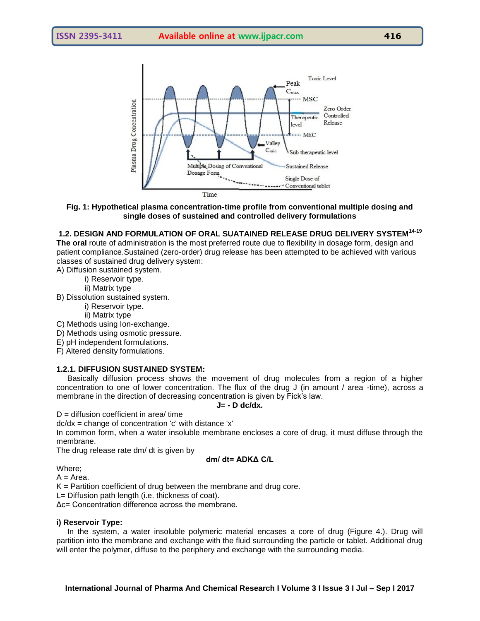

#### **Fig. 1: Hypothetical plasma concentration-time profile from conventional multiple dosing and single doses of sustained and controlled delivery formulations**

## **1.2. DESIGN AND FORMULATION OF ORAL SUATAINED RELEASE DRUG DELIVERY SYSTEM14-19**

**The oral** route of administration is the most preferred route due to flexibility in dosage form, design and patient compliance.Sustained (zero-order) drug release has been attempted to be achieved with various classes of sustained drug delivery system:

A) Diffusion sustained system.

i) Reservoir type.

ii) Matrix type

B) Dissolution sustained system.

i) Reservoir type.

ii) Matrix type

C) Methods using Ion-exchange.

D) Methods using osmotic pressure.

E) pH independent formulations.

F) Altered density formulations.

#### **1.2.1. DIFFUSION SUSTAINED SYSTEM:**

 Basically diffusion process shows the movement of drug molecules from a region of a higher concentration to one of lower concentration. The flux of the drug J (in amount / area -time), across a membrane in the direction of decreasing concentration is given by Fick"s law.

#### **J= - D dc/dx.**

 $D =$  diffusion coefficient in area/ time

 $dc/dx = change of concentration 'c' with distance 'x'$ 

In common form, when a water insoluble membrane encloses a core of drug, it must diffuse through the membrane.

The drug release rate dm/ dt is given by

$$
dm/dt = ADK\Delta C/L
$$

Where;

 $A = Area$ .

 $K =$  Partition coefficient of drug between the membrane and drug core.

L= Diffusion path length (i.e. thickness of coat).

Δc= Concentration difference across the membrane.

#### **i) Reservoir Type:**

 In the system, a water insoluble polymeric material encases a core of drug (Figure 4.). Drug will partition into the membrane and exchange with the fluid surrounding the particle or tablet. Additional drug will enter the polymer, diffuse to the periphery and exchange with the surrounding media.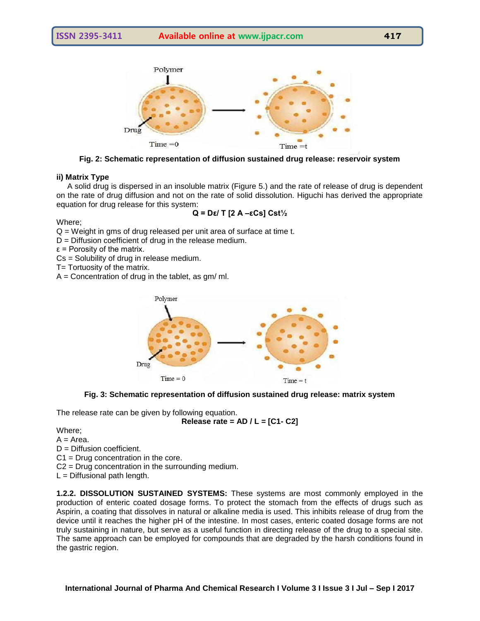

**Fig. 2: Schematic representation of diffusion sustained drug release: reservoir system**

#### **ii) Matrix Type**

 A solid drug is dispersed in an insoluble matrix (Figure 5.) and the rate of release of drug is dependent on the rate of drug diffusion and not on the rate of solid dissolution. Higuchi has derived the appropriate equation for drug release for this system:

$$
Q = D\epsilon / T [2 A - \epsilon Cs] Cst\frac{1}{2}
$$

Where;

Q = Weight in gms of drug released per unit area of surface at time t.

D = Diffusion coefficient of drug in the release medium.

 $\epsilon$  = Porosity of the matrix.

Cs = Solubility of drug in release medium.

T= Tortuosity of the matrix.

 $A =$  Concentration of drug in the tablet, as gm/ ml.





The release rate can be given by following equation.

$$
Release rate = AD / L = [C1-C2]
$$

Where;

 $A = Area$ .

D = Diffusion coefficient.

C1 = Drug concentration in the core.

C2 = Drug concentration in the surrounding medium.

 $L =$  Diffusional path length.

**1.2.2. DISSOLUTION SUSTAINED SYSTEMS:** These systems are most commonly employed in the production of enteric coated dosage forms. To protect the stomach from the effects of drugs such as Aspirin, a coating that dissolves in natural or alkaline media is used. This inhibits release of drug from the device until it reaches the higher pH of the intestine. In most cases, enteric coated dosage forms are not truly sustaining in nature, but serve as a useful function in directing release of the drug to a special site. The same approach can be employed for compounds that are degraded by the harsh conditions found in the gastric region.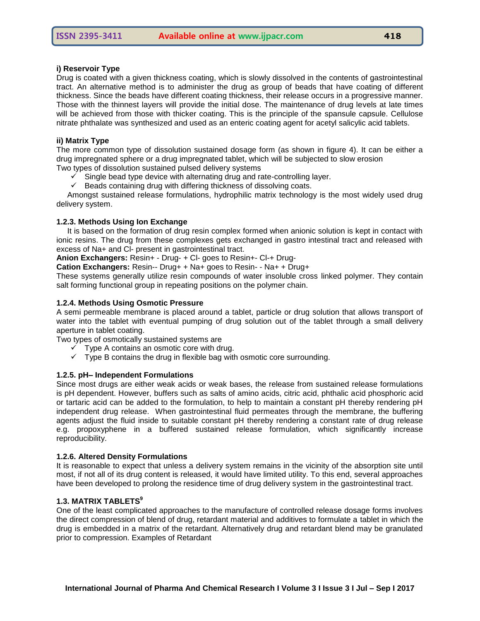Drug is coated with a given thickness coating, which is slowly dissolved in the contents of gastrointestinal tract. An alternative method is to administer the drug as group of beads that have coating of different thickness. Since the beads have different coating thickness, their release occurs in a progressive manner. Those with the thinnest layers will provide the initial dose. The maintenance of drug levels at late times will be achieved from those with thicker coating. This is the principle of the spansule capsule. Cellulose nitrate phthalate was synthesized and used as an enteric coating agent for acetyl salicylic acid tablets.

#### **ii) Matrix Type**

The more common type of dissolution sustained dosage form (as shown in figure 4). It can be either a drug impregnated sphere or a drug impregnated tablet, which will be subjected to slow erosion Two types of dissolution sustained pulsed delivery systems

- $\checkmark$  Single bead type device with alternating drug and rate-controlling layer.
- $\checkmark$  Beads containing drug with differing thickness of dissolving coats.

 Amongst sustained release formulations, hydrophilic matrix technology is the most widely used drug delivery system.

#### **1.2.3. Methods Using Ion Exchange**

It is based on the formation of drug resin complex formed when anionic solution is kept in contact with ionic resins. The drug from these complexes gets exchanged in gastro intestinal tract and released with excess of Na+ and Cl- present in gastrointestinal tract.

**Anion Exchangers:** Resin+ - Drug- + Cl- goes to Resin+- Cl-+ Drug-

**Cation Exchangers:** Resin-- Drug+ + Na+ goes to Resin- - Na+ + Drug+

These systems generally utilize resin compounds of water insoluble cross linked polymer. They contain salt forming functional group in repeating positions on the polymer chain.

#### **1.2.4. Methods Using Osmotic Pressure**

A semi permeable membrane is placed around a tablet, particle or drug solution that allows transport of water into the tablet with eventual pumping of drug solution out of the tablet through a small delivery aperture in tablet coating.

Two types of osmotically sustained systems are

- $\checkmark$  Type A contains an osmotic core with drug.
- $\checkmark$  Type B contains the drug in flexible bag with osmotic core surrounding.

#### **1.2.5. pH– Independent Formulations**

Since most drugs are either weak acids or weak bases, the release from sustained release formulations is pH dependent. However, buffers such as salts of amino acids, citric acid, phthalic acid phosphoric acid or tartaric acid can be added to the formulation, to help to maintain a constant pH thereby rendering pH independent drug release. When gastrointestinal fluid permeates through the membrane, the buffering agents adjust the fluid inside to suitable constant pH thereby rendering a constant rate of drug release e.g. propoxyphene in a buffered sustained release formulation, which significantly increase reproducibility.

#### **1.2.6. Altered Density Formulations**

It is reasonable to expect that unless a delivery system remains in the vicinity of the absorption site until most, if not all of its drug content is released, it would have limited utility. To this end, several approaches have been developed to prolong the residence time of drug delivery system in the gastrointestinal tract.

#### **1.3. MATRIX TABLETS<sup>9</sup>**

One of the least complicated approaches to the manufacture of controlled release dosage forms involves the direct compression of blend of drug, retardant material and additives to formulate a tablet in which the drug is embedded in a matrix of the retardant. Alternatively drug and retardant blend may be granulated prior to compression. Examples of Retardant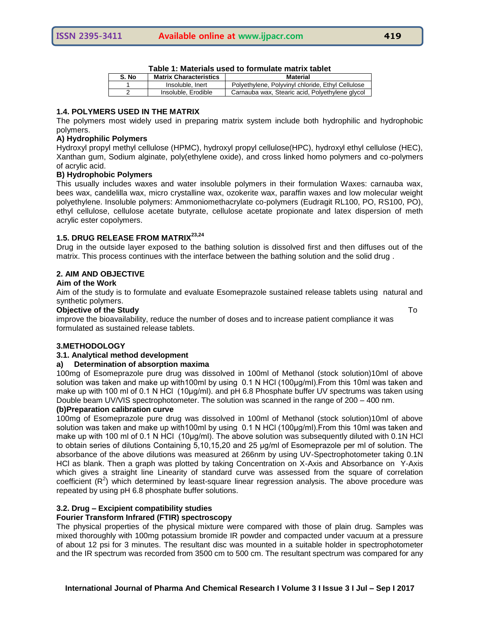|       | Table T. Malendis asculto Tommalale Malmalet |                                                   |  |  |  |  |
|-------|----------------------------------------------|---------------------------------------------------|--|--|--|--|
| S. No | <b>Matrix Characteristics</b>                | Material                                          |  |  |  |  |
|       | Insoluble, Inert                             | Polyethylene, Polyvinyl chloride, Ethyl Cellulose |  |  |  |  |
|       | Insoluble, Erodible                          | Carnauba wax, Stearic acid, Polyethylene glycol   |  |  |  |  |

## **Table 1: Materials used to formulate matrix tablet**

## **1.4. POLYMERS USED IN THE MATRIX**

The polymers most widely used in preparing matrix system include both hydrophilic and hydrophobic polymers.

#### **A) Hydrophilic Polymers**

Hydroxyl propyl methyl cellulose (HPMC), hydroxyl propyl cellulose(HPC), hydroxyl ethyl cellulose (HEC), Xanthan gum, Sodium alginate, poly(ethylene oxide), and cross linked homo polymers and co-polymers of acrylic acid.

#### **B) Hydrophobic Polymers**

This usually includes waxes and water insoluble polymers in their formulation Waxes: carnauba wax, bees wax, candelilla wax, micro crystalline wax, ozokerite wax, paraffin waxes and low molecular weight polyethylene. Insoluble polymers: Ammoniomethacrylate co-polymers (Eudragit RL100, PO, RS100, PO), ethyl cellulose, cellulose acetate butyrate, cellulose acetate propionate and latex dispersion of meth acrylic ester copolymers.

## **1.5. DRUG RELEASE FROM MATRIX23,24**

Drug in the outside layer exposed to the bathing solution is dissolved first and then diffuses out of the matrix. This process continues with the interface between the bathing solution and the solid drug .

#### **2. AIM AND OBJECTIVE**

#### **Aim of the Work**

Aim of the study is to formulate and evaluate Esomeprazole sustained release tablets using natural and synthetic polymers.

#### **Objective of the Study** To

improve the bioavailability, reduce the number of doses and to increase patient compliance it was formulated as sustained release tablets.

#### **3.METHODOLOGY**

## **3.1. Analytical method development**

#### **a) Determination of absorption maxima**

100mg of Esomeprazole pure drug was dissolved in 100ml of Methanol (stock solution)10ml of above solution was taken and make up with100ml by using 0.1 N HCl (100µg/ml). From this 10ml was taken and make up with 100 ml of 0.1 N HCl (10μg/ml). and pH 6.8 Phosphate buffer UV spectrums was taken using Double beam UV/VIS spectrophotometer. The solution was scanned in the range of 200 – 400 nm.

#### **(b)Preparation calibration curve**

100mg of Esomeprazole pure drug was dissolved in 100ml of Methanol (stock solution)10ml of above solution was taken and make up with100ml by using 0.1 N HCl (100µg/ml). From this 10ml was taken and make up with 100 ml of 0.1 N HCl (10μg/ml). The above solution was subsequently diluted with 0.1N HCl to obtain series of dilutions Containing 5,10,15,20 and 25 μg/ml of Esomeprazole per ml of solution. The absorbance of the above dilutions was measured at 266nm by using UV-Spectrophotometer taking 0.1N HCl as blank. Then a graph was plotted by taking Concentration on X-Axis and Absorbance on Y-Axis which gives a straight line Linearity of standard curve was assessed from the square of correlation coefficient  $(R^2)$  which determined by least-square linear regression analysis. The above procedure was repeated by using pH 6.8 phosphate buffer solutions.

#### **3.2. Drug – Excipient compatibility studies**

#### **Fourier Transform Infrared (FTIR) spectroscopy**

The physical properties of the physical mixture were compared with those of plain drug. Samples was mixed thoroughly with 100mg potassium bromide IR powder and compacted under vacuum at a pressure of about 12 psi for 3 minutes. The resultant disc was mounted in a suitable holder in spectrophotometer and the IR spectrum was recorded from 3500 cm to 500 cm. The resultant spectrum was compared for any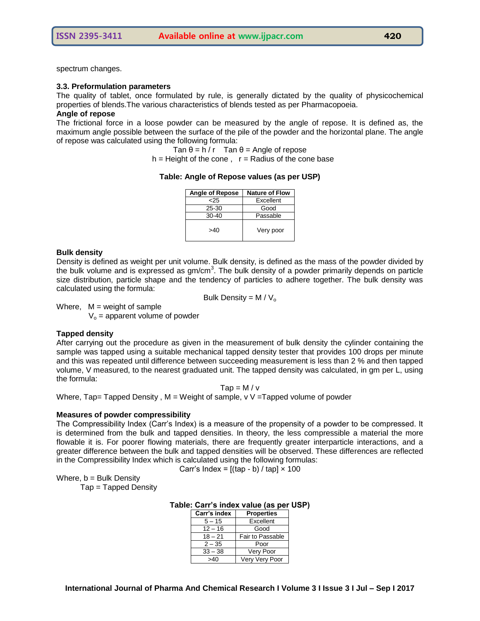spectrum changes.

#### **3.3. Preformulation parameters**

The quality of tablet, once formulated by rule, is generally dictated by the quality of physicochemical properties of blends.The various characteristics of blends tested as per Pharmacopoeia. **Angle of repose**

The frictional force in a loose powder can be measured by the angle of repose. It is defined as, the maximum angle possible between the surface of the pile of the powder and the horizontal plane. The angle of repose was calculated using the following formula:

Tan  $\theta = h / r$  Tan  $\theta =$  Angle of repose

 $h =$  Height of the cone,  $r =$  Radius of the cone base

#### **Table: Angle of Repose values (as per USP)**

| <b>Angle of Repose</b> | <b>Nature of Flow</b> |  |  |
|------------------------|-----------------------|--|--|
| <25                    | Excellent             |  |  |
| 25-30                  | Good                  |  |  |
| 30-40                  | Passable              |  |  |
| >40                    | Very poor             |  |  |

#### **Bulk density**

Density is defined as weight per unit volume. Bulk density, is defined as the mass of the powder divided by the bulk volume and is expressed as  $gm/cm<sup>3</sup>$ . The bulk density of a powder primarily depends on particle size distribution, particle shape and the tendency of particles to adhere together. The bulk density was calculated using the formula:

Bulk Density =  $M / V_0$ 

Where,  $M =$  weight of sample

 $V_0$  = apparent volume of powder

#### **Tapped density**

After carrying out the procedure as given in the measurement of bulk density the cylinder containing the sample was tapped using a suitable mechanical tapped density tester that provides 100 drops per minute and this was repeated until difference between succeeding measurement is less than 2 % and then tapped volume, V measured, to the nearest graduated unit. The tapped density was calculated, in gm per L, using the formula:

 $Tap = M/v$ 

Where, Tap= Tapped Density,  $M = Weight$  of sample, v V = Tapped volume of powder

#### **Measures of powder compressibility**

The Compressibility Index (Carr"s Index) is a measure of the propensity of a powder to be compressed. It is determined from the bulk and tapped densities. In theory, the less compressible a material the more flowable it is. For poorer flowing materials, there are frequently greater interparticle interactions, and a greater difference between the bulk and tapped densities will be observed. These differences are reflected in the Compressibility Index which is calculated using the following formulas:

Carr's Index =  $[(\text{tap} - \text{b}) / \text{tap}] \times 100$ 

Where,  $b =$  Bulk Density

Tap = Tapped Density

| Carr's index | <b>Properties</b> |  |  |  |
|--------------|-------------------|--|--|--|
| $5 - 15$     | Excellent         |  |  |  |
| $12 - 16$    | Good              |  |  |  |
| $18 - 21$    | Fair to Passable  |  |  |  |
| $2 - 35$     | Poor              |  |  |  |
| $33 - 38$    | Very Poor         |  |  |  |
| ר⊿~          | Very Very Poor    |  |  |  |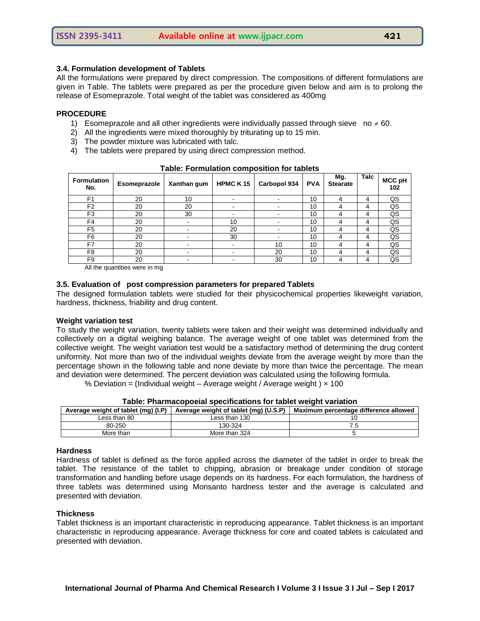### **3.4. Formulation development of Tablets**

All the formulations were prepared by direct compression. The compositions of different formulations are given in Table. The tablets were prepared as per the procedure given below and aim is to prolong the release of Esomeprazole. Total weight of the tablet was considered as 400mg

#### **PROCEDURE**

- 1) Esomeprazole and all other ingredients were individually passed through sieve no  $\neq$  60.
- 2) All the ingredients were mixed thoroughly by triturating up to 15 min.
- 3) The powder mixture was lubricated with talc.
- 4) The tablets were prepared by using direct compression method.

| <b>Formulation</b><br>No. | Esomeprazole | Xanthan gum | <b>HPMCK15</b> | Carbopol 934 | <b>PVA</b> | Mg.<br><b>Stearate</b> | Talc | <b>MCC pH</b><br>102 |
|---------------------------|--------------|-------------|----------------|--------------|------------|------------------------|------|----------------------|
| F <sub>1</sub>            | 20           | 10          |                |              | 10         |                        | 4    | QS                   |
| F <sub>2</sub>            | 20           | 20          |                |              | 10         |                        | 4    | QS                   |
| F <sub>3</sub>            | 20           | 30          |                |              | 10         |                        | 4    | QS                   |
| F <sub>4</sub>            | 20           |             | 10             |              | 10         |                        | 4    | QS                   |
| F <sub>5</sub>            | 20           |             | 20             |              | 10         |                        | 4    | QS                   |
| F6                        | 20           |             | 30             |              | 10         |                        | 4    | QS                   |
| F <sub>7</sub>            | 20           |             |                | 10           | 10         |                        | 4    | QS                   |
| F8                        | 20           |             |                | 20           | 10         |                        | 4    | QS                   |
| F <sub>9</sub>            | 20           |             |                | 30           | 10         |                        | 4    | QS                   |

#### **Table: Formulation composition for tablets**

All the quantities were in mg

#### **3.5. Evaluation of post compression parameters for prepared Tablets**

The designed formulation tablets were studied for their physicochemical properties likeweight variation, hardness, thickness, friability and drug content.

#### **Weight variation test**

To study the weight variation, twenty tablets were taken and their weight was determined individually and collectively on a digital weighing balance. The average weight of one tablet was determined from the collective weight. The weight variation test would be a satisfactory method of determining the drug content uniformity. Not more than two of the individual weights deviate from the average weight by more than the percentage shown in the following table and none deviate by more than twice the percentage. The mean and deviation were determined. The percent deviation was calculated using the following formula.

% Deviation = (Individual weight – Average weight / Average weight )  $\times$  100

| Average weight of tablet (mg) (I.P) | Average weight of tablet (mg) (U.S.P) | Maximum percentage difference allowed |
|-------------------------------------|---------------------------------------|---------------------------------------|
| Less than 80                        | Less than 130                         |                                       |
| 80-250                              | 130-324                               |                                       |
| More than                           | More than 324                         |                                       |

**Table: Pharmacopoeial specifications for tablet weight variation**

#### **Hardness**

Hardness of tablet is defined as the force applied across the diameter of the tablet in order to break the tablet. The resistance of the tablet to chipping, abrasion or breakage under condition of storage transformation and handling before usage depends on its hardness. For each formulation, the hardness of three tablets was determined using Monsanto hardness tester and the average is calculated and presented with deviation.

#### **Thickness**

Tablet thickness is an important characteristic in reproducing appearance. Tablet thickness is an important characteristic in reproducing appearance. Average thickness for core and coated tablets is calculated and presented with deviation.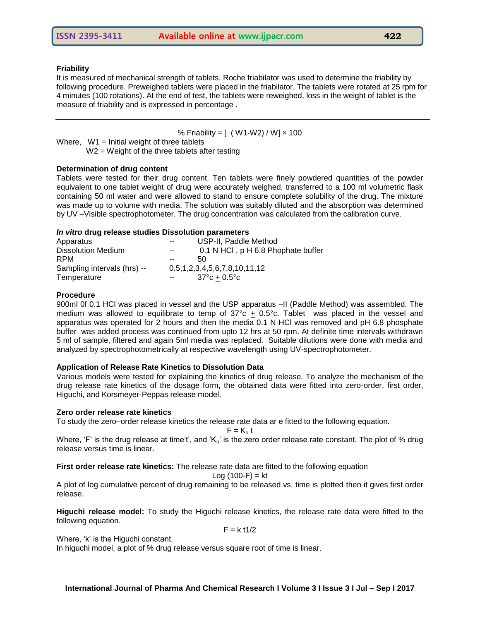#### **Friability**

It is measured of mechanical strength of tablets. Roche friabilator was used to determine the friability by following procedure. Preweighed tablets were placed in the friabilator. The tablets were rotated at 25 rpm for 4 minutes (100 rotations). At the end of test, the tablets were reweighed, loss in the weight of tablet is the measure of friability and is expressed in percentage .

% Friability =  $[ (W1-W2) / W] \times 100$ 

Where,  $W1$  = Initial weight of three tablets W2 = Weight of the three tablets after testing

## **Determination of drug content**

Tablets were tested for their drug content. Ten tablets were finely powdered quantities of the powder equivalent to one tablet weight of drug were accurately weighed, transferred to a 100 ml volumetric flask containing 50 ml water and were allowed to stand to ensure complete solubility of the drug. The mixture was made up to volume with media. The solution was suitably diluted and the absorption was determined by UV –Visible spectrophotometer. The drug concentration was calculated from the calibration curve.

#### *In vitro* **drug release studies Dissolution parameters**

| Apparatus                   | $- -$          | USP-II, Paddle Method                     |
|-----------------------------|----------------|-------------------------------------------|
| Dissolution Medium          | $- -$          | 0.1 N HCl, p H 6.8 Phophate buffer        |
| <b>RPM</b>                  | $- -$          | 50                                        |
| Sampling intervals (hrs) -- |                | $0.5, 1, 2, 3, 4, 5, 6, 7, 8, 10, 11, 12$ |
| Temperature                 | <b>Service</b> | $37^{\circ}$ c + 0.5 $^{\circ}$ c         |

#### **Procedure**

900ml 0f 0.1 HCl was placed in vessel and the USP apparatus –II (Paddle Method) was assembled. The medium was allowed to equilibrate to temp of 37°c  $\pm$  0.5°c. Tablet was placed in the vessel and apparatus was operated for 2 hours and then the media 0.1 N HCl was removed and pH 6.8 phosphate buffer was added process was continued from upto 12 hrs at 50 rpm. At definite time intervals withdrawn 5 ml of sample, filtered and again 5ml media was replaced. Suitable dilutions were done with media and analyzed by spectrophotometrically at respective wavelength using UV-spectrophotometer.

## **Application of Release Rate Kinetics to Dissolution Data**

Various models were tested for explaining the kinetics of drug release. To analyze the mechanism of the drug release rate kinetics of the dosage form, the obtained data were fitted into zero-order, first order, Higuchi, and Korsmeyer-Peppas release model.

#### **Zero order release rate kinetics**

To study the zero–order release kinetics the release rate data ar e fitted to the following equation.

$$
F=K_o\,t
$$

Where, 'F' is the drug release at time't', and ' $K_0$ ' is the zero order release rate constant. The plot of % drug release versus time is linear.

**First order release rate kinetics:** The release rate data are fitted to the following equation

$$
Log (100-F) = kt
$$

A plot of log cumulative percent of drug remaining to be released vs. time is plotted then it gives first order release.

**Higuchi release model:** To study the Higuchi release kinetics, the release rate data were fitted to the following equation.

 $F = k t1/2$ 

Where, 'k' is the Higuchi constant.

In higuchi model, a plot of % drug release versus square root of time is linear.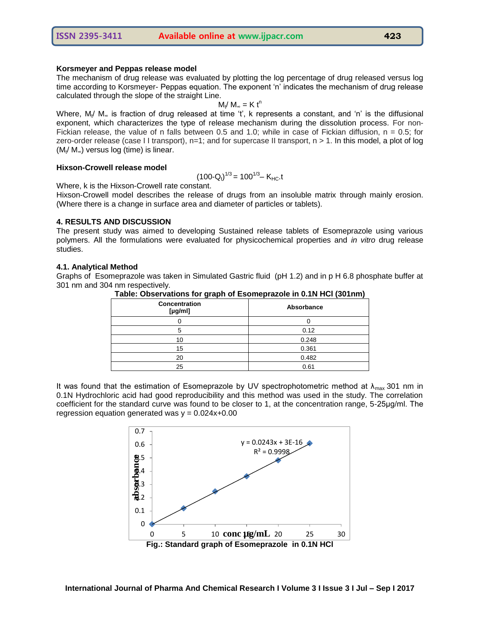#### **Korsmeyer and Peppas release model**

The mechanism of drug release was evaluated by plotting the log percentage of drug released versus log time according to Korsmeyer- Peppas equation. The exponent 'n' indicates the mechanism of drug release calculated through the slope of the straight Line.

$$
M_t / M_\infty = K t^n
$$

Where, M<sub>t</sub>/M<sub>∞</sub> is fraction of drug released at time 't', k represents a constant, and 'n' is the diffusional exponent, which characterizes the type of release mechanism during the dissolution process. For non-Fickian release, the value of n falls between 0.5 and 1.0; while in case of Fickian diffusion,  $n = 0.5$ ; for zero-order release (case II transport),  $n=1$ ; and for supercase II transport,  $n > 1$ . In this model, a plot of log  $(M_t/M_\infty)$  versus log (time) is linear.

#### **Hixson-Crowell release model**

$$
(100\text{-}Q_t)^{1/3} = 100^{1/3} - K_{HC}t
$$

Where, k is the Hixson-Crowell rate constant.

Hixson-Crowell model describes the release of drugs from an insoluble matrix through mainly erosion. (Where there is a change in surface area and diameter of particles or tablets).

#### **4. RESULTS AND DISCUSSION**

The present study was aimed to developing Sustained release tablets of Esomeprazole using various polymers. All the formulations were evaluated for physicochemical properties and *in vitro* drug release studies.

#### **4.1. Analytical Method**

Graphs of Esomeprazole was taken in Simulated Gastric fluid (pH 1.2) and in p H 6.8 phosphate buffer at 301 nm and 304 nm respectively.

| Concentration<br>[ $\mu$ g/ml] | Absorbance |  |
|--------------------------------|------------|--|
|                                |            |  |
|                                | 0.12       |  |
| 10                             | 0.248      |  |
| 15                             | 0.361      |  |
| 20                             | 0.482      |  |
| 25                             | 0.61       |  |

**Table: Observations for graph of Esomeprazole in 0.1N HCl (301nm)**

It was found that the estimation of Esomeprazole by UV spectrophotometric method at  $\lambda_{\text{max}}$  301 nm in 0.1N Hydrochloric acid had good reproducibility and this method was used in the study. The correlation coefficient for the standard curve was found to be closer to 1, at the concentration range, 5-25μg/ml. The regression equation generated was  $y = 0.024x + 0.00$ 

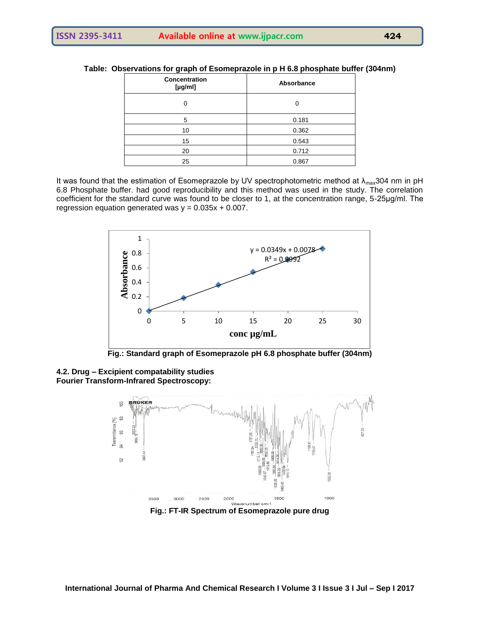| <b>Concentration</b><br>[yg/ml] | Absorbance |  |
|---------------------------------|------------|--|
|                                 |            |  |
| 5                               | 0.181      |  |
| 10                              | 0.362      |  |
| 15                              | 0.543      |  |
| 20                              | 0.712      |  |
| 25                              | 0.867      |  |

**Table: Observations for graph of Esomeprazole in p H 6.8 phosphate buffer (304nm)**

It was found that the estimation of Esomeprazole by UV spectrophotometric method at  $\lambda_{\text{max}}$ 304 nm in pH 6.8 Phosphate buffer. had good reproducibility and this method was used in the study. The correlation coefficient for the standard curve was found to be closer to 1, at the concentration range, 5-25μg/ml. The regression equation generated was  $y = 0.035x + 0.007$ .



**Fig.: Standard graph of Esomeprazole pH 6.8 phosphate buffer (304nm)**

**4.2. Drug – Excipient compatability studies Fourier Transform-Infrared Spectroscopy:**



**Fig.: FT-IR Spectrum of Esomeprazole pure drug**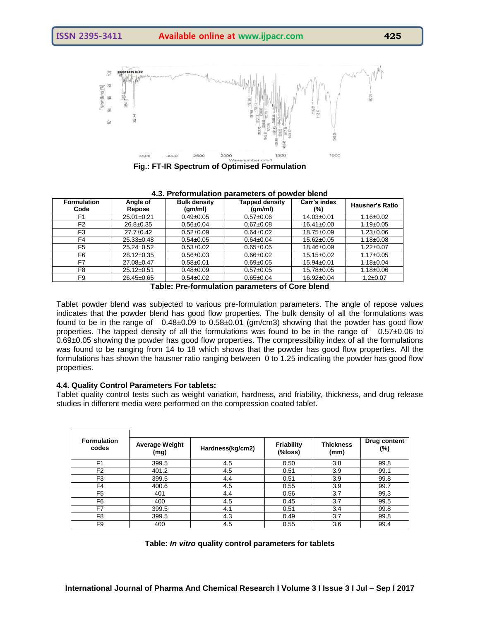

 **Fig.: FT-IR Spectrum of Optimised Formulation**

| <b>Formulation</b><br>Code | Angle of<br>Repose | <b>Bulk density</b><br>(gm/ml) | <b>Tapped density</b><br>(gm/ml) | Carr's index<br>(%) | <b>Hausner's Ratio</b> |  |  |
|----------------------------|--------------------|--------------------------------|----------------------------------|---------------------|------------------------|--|--|
| F1                         | $25.01 \pm 0.21$   | $0.49 \pm 0.05$                | $0.57 \pm 0.06$                  | $14.03 \pm 0.01$    | $1.16 \pm 0.02$        |  |  |
| F <sub>2</sub>             | $26.8 \pm 0.35$    | $0.56 \pm 0.04$                | $0.67 \pm 0.08$                  | $16.41 \pm 0.00$    | $1.19 \pm 0.05$        |  |  |
| F <sub>3</sub>             | $27.7 \pm 0.42$    | $0.52 \pm 0.09$                | $0.64 \pm 0.02$                  | 18.75±0.09          | $1.23 \pm 0.06$        |  |  |
| F4                         | $25.33 \pm 0.48$   | $0.54 \pm 0.05$                | $0.64 \pm 0.04$                  | $15.62 \pm 0.05$    | $1.18 \pm 0.08$        |  |  |
| F <sub>5</sub>             | $25.24 \pm 0.52$   | $0.53 + 0.02$                  | $0.65 \pm 0.05$                  | 18.46±0.09          | $1.22 \pm 0.07$        |  |  |
| F6                         | $28.12 \pm 0.35$   | $0.56 + 0.03$                  | $0.66 \pm 0.02$                  | $15.15 \pm 0.02$    | $1.17 \pm 0.05$        |  |  |
| F7                         | 27.08±0.47         | $0.58 + 0.01$                  | $0.69 \pm 0.05$                  | $15.94 \pm 0.01$    | $1.18 \pm 0.04$        |  |  |
| F8                         | $25.12 \pm 0.51$   | $0.48 + 0.09$                  | $0.57 \pm 0.05$                  | 15.78±0.05          | $1.18 \pm 0.06$        |  |  |
| F9                         | $26.45 \pm 0.65$   | $0.54 \pm 0.02$                | $0.65 \pm 0.04$                  | 16.92±0.04          | $1.2 \pm 0.07$         |  |  |

| 4.3. Preformulation parameters of powder blend |  |  |
|------------------------------------------------|--|--|
|------------------------------------------------|--|--|

**Table: Pre-formulation parameters of Core blend**

Tablet powder blend was subjected to various pre-formulation parameters. The angle of repose values indicates that the powder blend has good flow properties. The bulk density of all the formulations was found to be in the range of 0.48±0.09 to 0.58±0.01 (gm/cm3) showing that the powder has good flow properties. The tapped density of all the formulations was found to be in the range of 0.57±0.06 to 0.69±0.05 showing the powder has good flow properties. The compressibility index of all the formulations was found to be ranging from 14 to 18 which shows that the powder has good flow properties. All the formulations has shown the hausner ratio ranging between 0 to 1.25 indicating the powder has good flow properties.

#### **4.4. Quality Control Parameters For tablets:**

Tablet quality control tests such as weight variation, hardness, and friability, thickness, and drug release studies in different media were performed on the compression coated tablet.

| <b>Formulation</b><br>codes | <b>Average Weight</b><br>(mg) | Hardness(kg/cm2) | Friability<br>(%loss) | <b>Thickness</b><br>(mm) | Drug content<br>(%) |
|-----------------------------|-------------------------------|------------------|-----------------------|--------------------------|---------------------|
| F <sub>1</sub>              | 399.5                         | 4.5              | 0.50                  | 3.8                      | 99.8                |
| F <sub>2</sub>              | 401.2                         | 4.5              | 0.51                  | 3.9                      | 99.1                |
| F <sub>3</sub>              | 399.5                         | 4.4              | 0.51                  | 3.9                      | 99.8                |
| F4                          | 400.6                         | 4.5              | 0.55                  | 3.9                      | 99.7                |
| F <sub>5</sub>              | 401                           | 4.4              | 0.56                  | 3.7                      | 99.3                |
| F6                          | 400                           | 4.5              | 0.45                  | 3.7                      | 99.5                |
| F7                          | 399.5                         | 4.1              | 0.51                  | 3.4                      | 99.8                |
| F8                          | 399.5                         | 4.3              | 0.49                  | 3.7                      | 99.8                |
| F9                          | 400                           | 4.5              | 0.55                  | 3.6                      | 99.4                |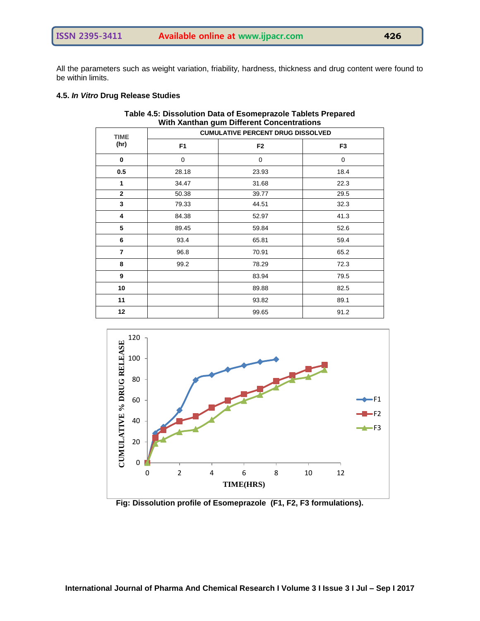All the parameters such as weight variation, friability, hardness, thickness and drug content were found to be within limits.

## **4.5.** *In Vitro* **Drug Release Studies**

| With Xanthan gum Different Concentrations |                                          |                |                |  |  |  |
|-------------------------------------------|------------------------------------------|----------------|----------------|--|--|--|
| <b>TIME</b>                               | <b>CUMULATIVE PERCENT DRUG DISSOLVED</b> |                |                |  |  |  |
| (hr)                                      | F <sub>1</sub>                           | F <sub>2</sub> | F <sub>3</sub> |  |  |  |
| $\bf{0}$                                  | 0                                        | 0              | $\mathbf 0$    |  |  |  |
| 0.5                                       | 28.18                                    | 23.93          | 18.4           |  |  |  |
| $\mathbf{1}$                              | 34.47                                    | 31.68          | 22.3           |  |  |  |
| $\mathbf{2}$                              | 50.38                                    | 39.77          | 29.5           |  |  |  |
| 3                                         | 79.33                                    | 44.51          | 32.3           |  |  |  |
| 4                                         | 84.38                                    | 52.97          | 41.3           |  |  |  |
| 5                                         | 89.45                                    | 59.84          | 52.6           |  |  |  |
| 6                                         | 93.4                                     | 65.81          | 59.4           |  |  |  |
| $\overline{7}$                            | 96.8                                     | 70.91          | 65.2           |  |  |  |
| 8                                         | 99.2                                     | 78.29          | 72.3           |  |  |  |
| 9                                         |                                          | 83.94          | 79.5           |  |  |  |
| 10                                        |                                          | 89.88          | 82.5           |  |  |  |
| 11                                        |                                          | 93.82          | 89.1           |  |  |  |
| 12                                        |                                          | 99.65          | 91.2           |  |  |  |

**Table 4.5: Dissolution Data of Esomeprazole Tablets Prepared With Xanthan gum Different Concentrations**



**Fig: Dissolution profile of Esomeprazole (F1, F2, F3 formulations).**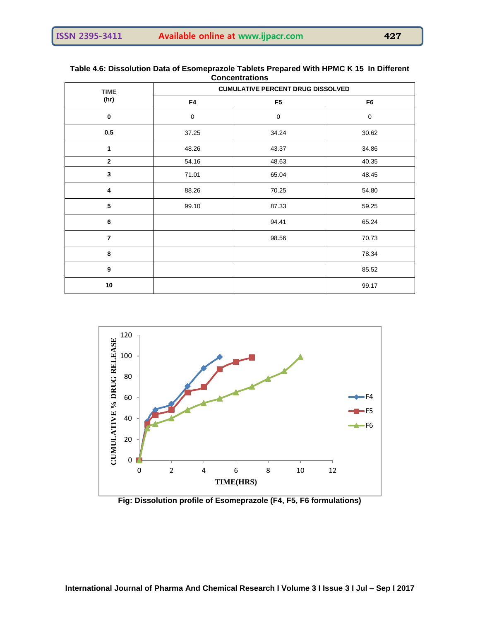#### **Table 4.6: Dissolution Data of Esomeprazole Tablets Prepared With HPMC K 15 In Different Concentrations**

| TIME                    | <b>CUMULATIVE PERCENT DRUG DISSOLVED</b> |                |                |  |  |
|-------------------------|------------------------------------------|----------------|----------------|--|--|
| (hr)                    | F4                                       | F <sub>5</sub> | F <sub>6</sub> |  |  |
| $\bf{0}$                | $\mathbf 0$                              | $\mathbf 0$    | 0              |  |  |
| $0.5\,$                 | 37.25                                    | 34.24          | 30.62          |  |  |
| 1                       | 48.26                                    | 43.37          | 34.86          |  |  |
| $\overline{2}$          | 54.16                                    | 48.63          | 40.35          |  |  |
| $\mathbf{3}$            | 71.01                                    | 65.04          | 48.45          |  |  |
| $\overline{\mathbf{4}}$ | 88.26                                    | 70.25          | 54.80          |  |  |
| ${\bf 5}$               | 99.10                                    | 87.33          | 59.25          |  |  |
| 6                       |                                          | 94.41          | 65.24          |  |  |
| $\overline{7}$          |                                          | 98.56          | 70.73          |  |  |
| 8                       |                                          |                | 78.34          |  |  |
| $\boldsymbol{9}$        |                                          |                | 85.52          |  |  |
| 10                      |                                          |                | 99.17          |  |  |



**Fig: Dissolution profile of Esomeprazole (F4, F5, F6 formulations)**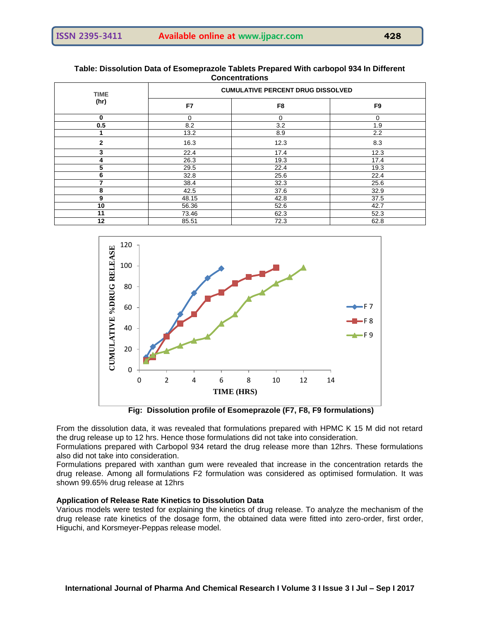|                     |                                          | <b>CONCERT QUOTS</b> |                |  |  |  |
|---------------------|------------------------------------------|----------------------|----------------|--|--|--|
| <b>TIME</b><br>(hr) | <b>CUMULATIVE PERCENT DRUG DISSOLVED</b> |                      |                |  |  |  |
|                     | F7                                       | F <sub>8</sub>       | F <sub>9</sub> |  |  |  |
| 0                   | 0                                        | 0                    | 0              |  |  |  |
| 0.5                 | 8.2                                      | 3.2                  | 1.9            |  |  |  |
|                     | 13.2                                     | 8.9                  | 2.2            |  |  |  |
| $\overline{2}$      | 16.3                                     | 12.3                 | 8.3            |  |  |  |
| 3                   | 22.4                                     | 17.4                 | 12.3           |  |  |  |
| 4                   | 26.3                                     | 19.3                 | 17.4           |  |  |  |
| 5                   | 29.5                                     | 22.4                 | 19.3           |  |  |  |
| 6                   | 32.8                                     | 25.6                 | 22.4           |  |  |  |
|                     | 38.4                                     | 32.3                 | 25.6           |  |  |  |
| 8                   | 42.5                                     | 37.6                 | 32.9           |  |  |  |
| 9                   | 48.15                                    | 42.8                 | 37.5           |  |  |  |
| 10                  | 56.36                                    | 52.6                 | 42.7           |  |  |  |
| 11                  | 73.46                                    | 62.3                 | 52.3           |  |  |  |
| 12                  | 85.51                                    | 72.3                 | 62.8           |  |  |  |

#### **Table: Dissolution Data of Esomeprazole Tablets Prepared With carbopol 934 In Different Concentrations**



**Fig: Dissolution profile of Esomeprazole (F7, F8, F9 formulations)**

From the dissolution data, it was revealed that formulations prepared with HPMC K 15 M did not retard the drug release up to 12 hrs. Hence those formulations did not take into consideration.

Formulations prepared with Carbopol 934 retard the drug release more than 12hrs. These formulations also did not take into consideration.

Formulations prepared with xanthan gum were revealed that increase in the concentration retards the drug release. Among all formulations F2 formulation was considered as optimised formulation. It was shown 99.65% drug release at 12hrs

#### **Application of Release Rate Kinetics to Dissolution Data**

Various models were tested for explaining the kinetics of drug release. To analyze the mechanism of the drug release rate kinetics of the dosage form, the obtained data were fitted into zero-order, first order, Higuchi, and Korsmeyer-Peppas release model.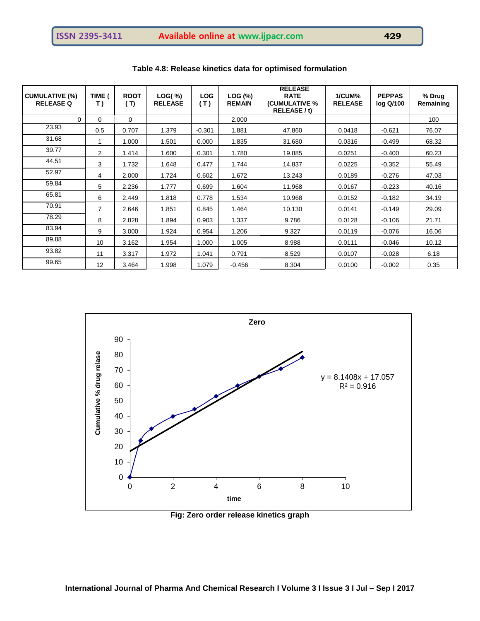| <b>CUMULATIVE (%)</b><br><b>RELEASE Q</b> | TIME (<br>T) | <b>ROOT</b><br>(T) | LOG( %)<br><b>RELEASE</b> | <b>LOG</b><br>(T) | LOG (%)<br><b>REMAIN</b> | <b>RELEASE</b><br><b>RATE</b><br>(CUMULATIVE %<br>RELEASE / t) | 1/CUM%<br><b>RELEASE</b> | <b>PEPPAS</b><br>log Q/100 | % Drug<br>Remaining |
|-------------------------------------------|--------------|--------------------|---------------------------|-------------------|--------------------------|----------------------------------------------------------------|--------------------------|----------------------------|---------------------|
| 0                                         | 0            | 0                  |                           |                   | 2.000                    |                                                                |                          |                            | 100                 |
| 23.93                                     | 0.5          | 0.707              | 1.379                     | $-0.301$          | 1.881                    | 47.860                                                         | 0.0418                   | $-0.621$                   | 76.07               |
| 31.68                                     |              | 1.000              | 1.501                     | 0.000             | 1.835                    | 31.680                                                         | 0.0316                   | $-0.499$                   | 68.32               |
| 39.77                                     | 2            | 1.414              | 1.600                     | 0.301             | 1.780                    | 19.885                                                         | 0.0251                   | $-0.400$                   | 60.23               |
| 44.51                                     | 3            | 1.732              | 1.648                     | 0.477             | 1.744                    | 14.837                                                         | 0.0225                   | $-0.352$                   | 55.49               |
| 52.97                                     | 4            | 2.000              | 1.724                     | 0.602             | 1.672                    | 13.243                                                         | 0.0189                   | $-0.276$                   | 47.03               |
| 59.84                                     | 5            | 2.236              | 1.777                     | 0.699             | 1.604                    | 11.968                                                         | 0.0167                   | $-0.223$                   | 40.16               |
| 65.81                                     | 6            | 2.449              | 1.818                     | 0.778             | 1.534                    | 10.968                                                         | 0.0152                   | $-0.182$                   | 34.19               |
| 70.91                                     | 7            | 2.646              | 1.851                     | 0.845             | 1.464                    | 10.130                                                         | 0.0141                   | $-0.149$                   | 29.09               |
| 78.29                                     | 8            | 2.828              | 1.894                     | 0.903             | 1.337                    | 9.786                                                          | 0.0128                   | $-0.106$                   | 21.71               |
| 83.94                                     | 9            | 3.000              | 1.924                     | 0.954             | 1.206                    | 9.327                                                          | 0.0119                   | $-0.076$                   | 16.06               |
| 89.88                                     | 10           | 3.162              | 1.954                     | 1.000             | 1.005                    | 8.988                                                          | 0.0111                   | $-0.046$                   | 10.12               |
| 93.82                                     | 11           | 3.317              | 1.972                     | 1.041             | 0.791                    | 8.529                                                          | 0.0107                   | $-0.028$                   | 6.18                |
| 99.65                                     | 12           | 3.464              | 1.998                     | 1.079             | $-0.456$                 | 8.304                                                          | 0.0100                   | $-0.002$                   | 0.35                |

**Table 4.8: Release kinetics data for optimised formulation**



**Fig: Zero order release kinetics graph**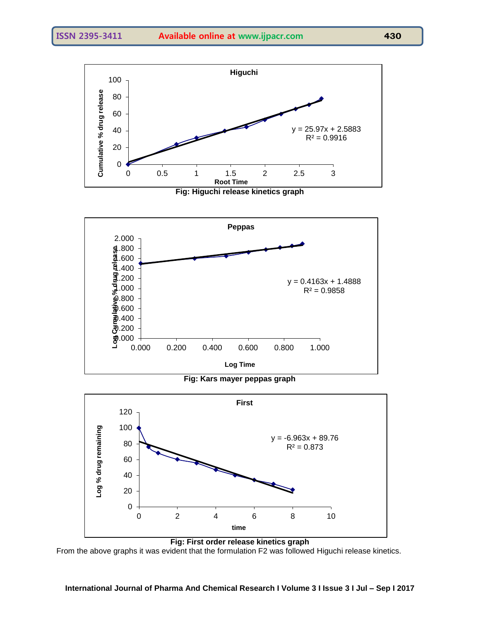





**Fig: Kars mayer peppas graph** 



From the above graphs it was evident that the formulation F2 was followed Higuchi release kinetics.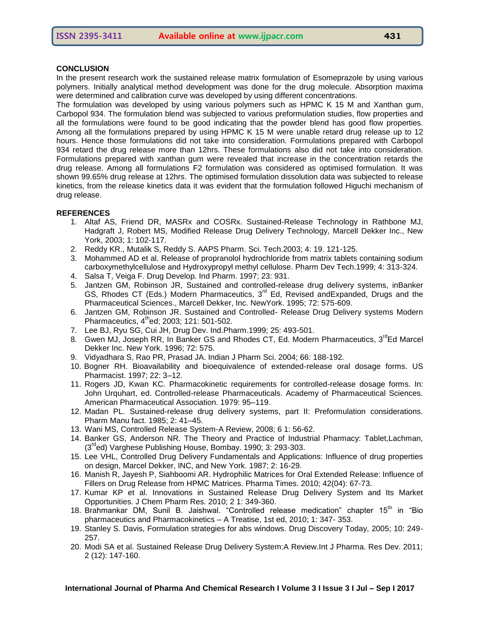#### **CONCLUSION**

In the present research work the sustained release matrix formulation of Esomeprazole by using various polymers. Initially analytical method development was done for the drug molecule. Absorption maxima were determined and calibration curve was developed by using different concentrations.

The formulation was developed by using various polymers such as HPMC K 15 M and Xanthan gum, Carbopol 934. The formulation blend was subjected to various preformulation studies, flow properties and all the formulations were found to be good indicating that the powder blend has good flow properties. Among all the formulations prepared by using HPMC K 15 M were unable retard drug release up to 12 hours. Hence those formulations did not take into consideration. Formulations prepared with Carbopol 934 retard the drug release more than 12hrs. These formulations also did not take into consideration. Formulations prepared with xanthan gum were revealed that increase in the concentration retards the drug release. Among all formulations F2 formulation was considered as optimised formulation. It was shown 99.65% drug release at 12hrs. The optimised formulation dissolution data was subjected to release kinetics, from the release kinetics data it was evident that the formulation followed Higuchi mechanism of drug release.

#### **REFERENCES**

- 1. Altaf AS, Friend DR, MASRx and COSRx. Sustained-Release Technology in Rathbone MJ, Hadgraft J, Robert MS, Modified Release Drug Delivery Technology, Marcell Dekker Inc., New York, 2003; 1: 102-117.
- 2. Reddy KR., Mutalik S, Reddy S. AAPS Pharm. Sci. Tech.2003; 4: 19. 121-125.
- 3. Mohammed AD et al. Release of propranolol hydrochloride from matrix tablets containing sodium carboxymethylcellulose and Hydroxypropyl methyl cellulose. Pharm Dev Tech.1999; 4: 313-324.
- 4. Salsa T, Veiga F. Drug Develop. Ind Pharm. 1997; 23: 931.
- 5. Jantzen GM, Robinson JR, Sustained and controlled-release drug delivery systems, inBanker GS, Rhodes CT (Eds.) Modern Pharmaceutics, 3<sup>rd</sup> Ed, Revised andExpanded, Drugs and the Pharmaceutical Sciences., Marcell Dekker, Inc. NewYork. 1995; 72: 575-609.
- 6. Jantzen GM, Robinson JR. Sustained and Controlled- Release Drug Delivery systems Modern Pharmaceutics, 4<sup>th</sup>ed; 2003; 121: 501-502.
- 7. Lee BJ, Ryu SG, Cui JH, Drug Dev. Ind.Pharm.1999; 25: 493-501.
- 8. Gwen MJ, Joseph RR, In Banker GS and Rhodes CT, Ed. Modern Pharmaceutics, 3<sup>rd</sup>Ed Marcel Dekker Inc. New York. 1996; 72: 575.
- 9. Vidyadhara S, Rao PR, Prasad JA. Indian J Pharm Sci. 2004; 66: 188-192.
- 10. Bogner RH. Bioavailability and bioequivalence of extended-release oral dosage forms. US Pharmacist. 1997; 22: 3–12.
- 11. Rogers JD, Kwan KC. Pharmacokinetic requirements for controlled-release dosage forms. In: John Urquhart, ed. Controlled-release Pharmaceuticals. Academy of Pharmaceutical Sciences. American Pharmaceutical Association. 1979: 95–119.
- 12. Madan PL. Sustained-release drug delivery systems, part II: Preformulation considerations. Pharm Manu fact. 1985; 2: 41–45.
- 13. Wani MS, Controlled Release System-A Review, 2008; 6 1: 56-62.
- 14. Banker GS, Anderson NR. The Theory and Practice of Industrial Pharmacy: Tablet,Lachman,  $(3<sup>rd</sup>ed)$  Varghese Publishing House, Bombay. 1990; 3: 293-303.
- 15. Lee VHL, Controlled Drug Delivery Fundamentals and Applications: Influence of drug properties on design, Marcel Dekker, INC, and New York. 1987; 2: 16-29.
- 16. Manish R, Jayesh P, Siahboomi AR. Hydrophilic Matrices for Oral Extended Release: Influence of Fillers on Drug Release from HPMC Matrices. Pharma Times. 2010; 42(04): 67-73.
- 17. Kumar KP et al. Innovations in Sustained Release Drug Delivery System and Its Market Opportunities. J Chem Pharm Res. 2010; 2 1: 349-360.
- 18. Brahmankar DM, Sunil B. Jaishwal. "Controlled release medication" chapter 15<sup>th</sup> in "Bio pharmaceutics and Pharmacokinetics – A Treatise, 1st ed, 2010; 1: 347- 353.
- 19. Stanley S. Davis, Formulation strategies for abs windows. Drug Discovery Today, 2005; 10: 249- 257.
- 20. Modi SA et al. Sustained Release Drug Delivery System:A Review.Int J Pharma. Res Dev. 2011; 2 (12): 147-160.